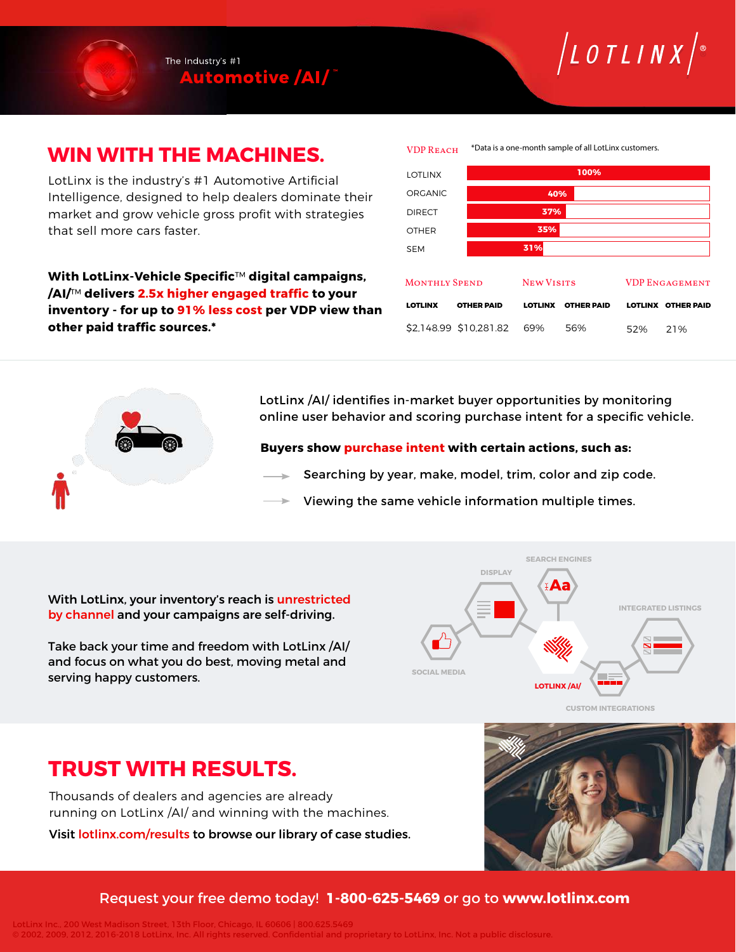

# **WIN WITH THE MACHINES.**

LotLinx is the industry's #1 Automotive Artificial Intelligence, designed to help dealers dominate their market and grow vehicle gross profit with strategies that sell more cars faster.

**With LotLinx-Vehicle Specific**™ **digital campaigns, /AI/**™ **delivers 2.5x higher engaged traffic to your inventory - for up to 91% less cost per VDP view than other paid traffic sources.\***



 $\int$ LOTLINX $\int$ 

LotLinx /AI/ identifies in-market buyer opportunities by monitoring online user behavior and scoring purchase intent for a specific vehicle.

**Buyers show purchase intent with certain actions, such as:**

- Searching by year, make, model, trim, color and zip code.
- Viewing the same vehicle information multiple times.

With LotLinx, your inventory's reach is unrestricted by channel and your campaigns are self-driving.

Take back your time and freedom with LotLinx /AI/ and focus on what you do best, moving metal and serving happy customers.



**TRUST WITH RESULTS.**

Thousands of dealers and agencies are already running on LotLinx /AI/ and winning with the machines.

Visit lotlinx.com/results to browse our library of case studies.



### Request your free demo today! **1-800-625-5469** or go to **www.lotlinx.com**